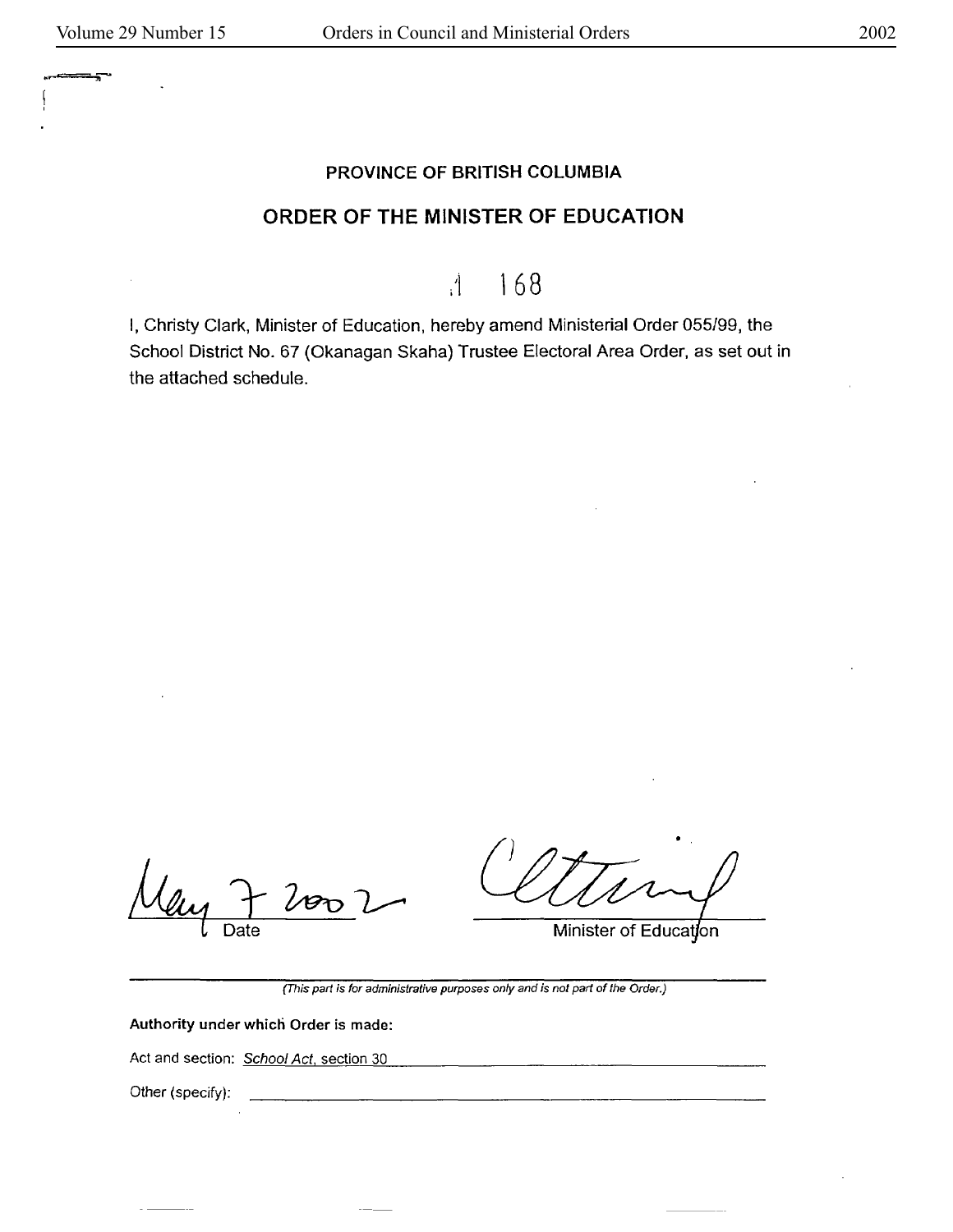## PROVINCE OF BRITISH COLUMBIA

## ORDER OF THE MINISTER OF EDUCATION

 $11$  168

I, Christy Clark, Minister of Education, hereby amend Ministerial Order 055/99, the School District No. 67 (Okanagan Skaha) Trustee Electoral Area Order, as set out in the attached schedule.

Date

<u> 1989 - John Harry Harry Harry Harry Harry Harry Harry Harry Harry Harry Harry Harry Harry Harry Harry Harry H</u>

Minister of Education

(This part is for administrative purposes only and is not part of the Order.)

Authority under which Order is made:

Act and section: School Act, section 30

Other (specify):